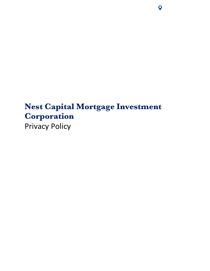# **Nest Capital Mortgage Investment Corporation** Privacy Policy

 $\overline{Q}$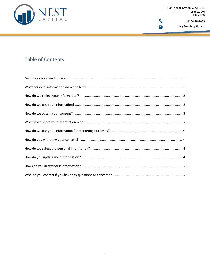

# **Table of Contents**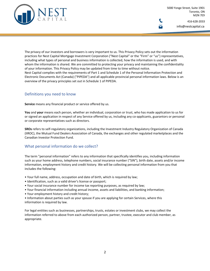

info@nestcapital.ca

The privacy of our investors and borrowers is very important to us. This Privacy Policy sets out the information practices for Nest Capital Mortgage Investment Corporation ("Nest Capital" or the "Firm" or "us") representatives, including what types of personal and business information is collected, how the information is used, and with whom the information is shared. We are committed to protecting your privacy and maintaining the confidentiality of your information. This Privacy Policy may be updated from time to time without notice. Nest Capital complies with the requirements of Part 1 and Schedule 1 of the Personal Information Protection and Electronic Documents Act (Canada) ("PIPEDA") and all applicable provincial personal information laws. Below is an overview of the privacy principles set out in Schedule 1 of PIPEDA.

# Definitions you need to know

**Service** means any financial product or service offered by us.

**You** and **your** means each person, whether an individual, corporation or trust, who has made application to us for or signed an application in respect of any Service offered by us, including any co-applicants, guarantors or personal or corporate representatives such as directors.

**SROs** refers to self-regulatory organizations, including the Investment Industry Regulatory Organization of Canada (IIROC), the Mutual Fund Dealers Association of Canada, the exchanges and other regulated marketplaces and the Canadian Investor Protection Fund.

# What personal information do we collect?

The term "personal information" refers to any information that specifically identifies you, including information such as your home address, telephone numbers, social insurance number ("SIN"), birth date, assets and/or income information, employment history and credit history. We will be collecting personal information from you that includes the following:

- Your full name, address, occupation and date of birth, which is required by law;
- Identification, such as a valid driver's license or passport;
- Your social insurance number for income tax reporting purposes, as required by law;
- Your financial information including annual income, assets and liabilities, and banking information;
- Your employment history and credit history;
- Information about parties such as your spouse if you are applying for certain Services, where this information is required by law.

For legal entities such as businesses, partnerships, trusts, estates or investment clubs, we may collect the information referred to above from each authorized person, partner, trustee, executor and club member, as appropriate.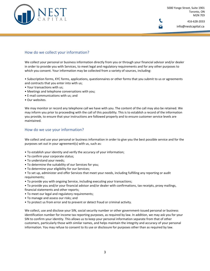

# How do we collect your information?

We collect your personal or business information directly from you or through your financial advisor and/or dealer in order to provide you with Services, to meet legal and regulatory requirements and for any other purposes to which you consent. Your information may be collected from a variety of sources, including:

• Subscription forms, KYC forms, applications, questionnaires or other forms that you submit to us or agreements and contracts that you enter into with us;

- Your transactions with us;
- Meetings and telephone conversations with you;
- E-mail communications with us; and
- Our websites.

We may monitor or record any telephone call we have with you. The content of the call may also be retained. We may inform you prior to proceeding with the call of this possibility. This is to establish a record of the information you provide, to ensure that your instructions are followed properly and to ensure customer service levels are maintained.

#### How do we use your information?

We collect and use your personal or business information in order to give you the best possible service and for the purposes set out in your agreement(s) with us, such as:

- To establish your identity and verify the accuracy of your information;
- To confirm your corporate status;
- To understand your needs;
- To determine the suitability of our Services for you;
- To determine your eligibility for our Services;

• To set up, administer and offer Services that meet your needs, including fulfilling any reporting or audit requirements;

• To provide you with ongoing Service, including executing your transactions;

• To provide you and/or your financial advisor and/or dealer with confirmations, tax receipts, proxy mailings, financial statements and other reports;

- To meet our legal and regulatory requirements;
- To manage and assess our risks; and
- To protect us from error and to prevent or detect fraud or criminal activity.

We collect, use and disclose your SIN, social security number or other government-issued personal or business identification number for income tax reporting purposes, as required by law. In addition, we may ask you for your SIN to confirm your identity. This allows us to keep your personal information separate from that of other customers, particularly those with similar names, and helps maintain the integrity and accuracy of your personal information. You may refuse to consent to its use or disclosure for purposes other than as required by law.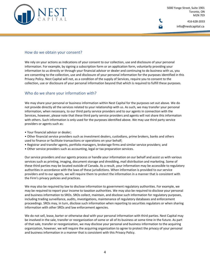

#### How do we obtain your consent?

We rely on your actions as indications of your consent to our collection, use and disclosure of your personal information. For example, by signing a subscription form or an application form, voluntarily providing your information to us directly or through your financial advisor or dealer and continuing to do business with us, you are consenting to the collection, use and disclosure of your personal information for the purposes identified in this Privacy Policy. Nest Capital will not, as a condition of the supply of Services, require you to consent to the collection, use or disclosure of your personal information beyond that which is required to fulfill these purposes.

# Who do we share your information with?

We may share your personal or business information within Nest Capital for the purposes set out above. We do not provide directly all the services related to your relationship with us. As such, we may transfer your personal information, when necessary, to our third party service providers and to our agents in connection with the Services, however, please note that these third party service providers and agents will not share this information with others. Such information is only used for the purposes identified above. We may use third party service providers or agents such as:

- Your financial advisor or dealer;
- Other financial service providers such as investment dealers, custodians, prime brokers, banks and others used to finance or facilitate transactions or operations on your behalf;
- Registrar and transfer agents, portfolio managers, brokerage firms and similar service providers; and
- Other service providers such as accounting, legal or tax preparation services.

Our service providers and our agents process or handle your information on our behalf and assist us with various services such as printing, imaging, document storage and shredding, mail distribution and marketing. Some of these third parties may be located outside of Canada. As a result, your information may be accessible to regulatory authorities in accordance with the laws of these jurisdictions. When information is provided to our service providers and to our agents, we will require them to protect the information in a manner that is consistent with the Firm's privacy policies and practices.

We may also be required by law to disclose information to government regulatory authorities. For example, we may be required to report your income to taxation authorities. We may also be required to disclose your personal and business information to SROs. SROs collect, maintain, and disclose such information for regulatory purposes, including trading surveillance, audits, investigations, maintenance of regulatory databases and enforcement proceedings. SROs may, in turn, disclose such information when reporting to securities regulators or when sharing information with other SROs and law enforcement agencies.

We do not sell, lease, barter or otherwise deal with your personal information with third parties. Nest Capital may be involved in the sale, transfer or reorganization of some or all of its business at some time in the future. As part of that sale, transfer or reorganization, we may disclose your personal and business information to the acquiring organization, however, we will require the acquiring organization to agree to protect the privacy of your personal and business information in a manner that is consistent with this Privacy Policy.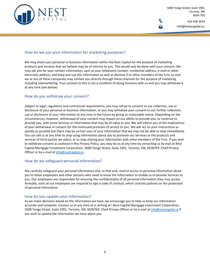

#### How do we use your information for marketing purposes?

We may share your personal or business information within the Nest Capital for the purpose of marketing products and services that we believe may be of interest to you. This would only be done with your consent. We may ask you for your contact information, such as your telephone number, residential address, e-mail or other electronic address, and keep and use this information as well as disclose it to other members of the Firm so that we or any of these companies may contact you directly through these channels for the purpose of marketing including telemarketing. Your consent to this is not a condition of doing business with us and you may withdraw it at any time (see below).

#### How do you withdraw your consent?

Subject to legal, regulatory and contractual requirements, you may refuse to consent to our collection, use or disclosure of your personal or business information, or you may withdraw your consent to our further collection, use or disclosure of your information at any time in the future by giving us reasonable notice. Depending on the circumstances, however, withdrawal of your consent may impact on our ability to provide you, or continue to provide you, with some Services or information that may be of value to you. We will inform you of the implications of your withdrawal of consent for the continued promises of service to you. We will act on your instructions as quickly as possible but there may be certain uses of your information that we may not be able to stop immediately. You can tell us at any time to stop using information about you to promote our Services or the products and services of third parties we select, or to stop sharing your information with other members of the Firm. If you wish to withdraw consent as outlined in this Privacy Policy, you may do so at any time by contacting us by mail at Nest Capital Mortgage Investment Corporation, 5000 Yonge Street, Suite 1901, Toronto, ON, M2N7E9: Chief Privacy Officer or by e-mail at info@nestcapital.ca

# How do we safeguard personal information?

We carefully safeguard your personal information and, to that end, restrict access to personal information about you to those employees and other persons who need to know the information to enable us to provide Services to you. Our employees are responsible for ensuring the confidentiality of all personal information they may access. Annually, each of our employees are required to sign a code of conduct, which contains policies on the protection of personal information.

#### How do you update your information?

As we make decisions based on the information we have, we encourage you to help us keep our information accurate and complete. Contact us at any time at in writing at I Nest Capital Mortgage Investment Corporation, 5000 Yonge Street, Suite 1901, Toronto, ON, M2N7E9: Chief Privacy Officer or by e-mail at info@nestcapital.ca if you wish to update the information we have about you.